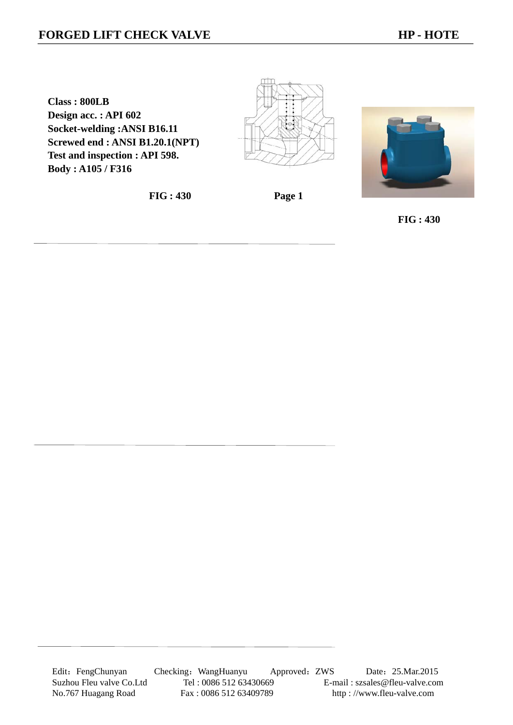## **FORGED LIFT CHECK VALVE HP - HOTE**

**Class : 800LB Design acc. : API 602 Socket-welding :ANSI B16.11 Screwed end : ANSI B1.20.1(NPT) Test and inspection : API 598. Body : A105 / F316** 

**FIG : 430 Page 1** 



 **FIG : 430**